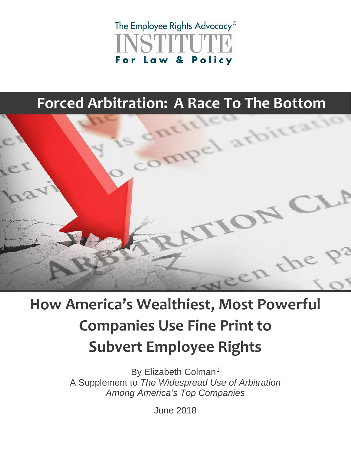## The Employee Rights Advocacy<sup>®</sup> Law & Policy For

## **Forced Arbitration: A Race To The Bottom**



# **How America's Wealthiest, Most Powerful Companies Use Fine Print to Subvert Employee Rights**

By Elizabeth Colman<sup>[1](#page-3-0)</sup> A Supplement to *The Widespread Use of Arbitration Among America's Top Companies* 

June 2018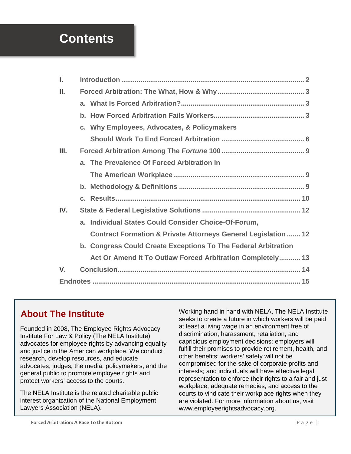## **Contents**

| ı.          |                                                                           |
|-------------|---------------------------------------------------------------------------|
| Ш.          |                                                                           |
|             |                                                                           |
|             |                                                                           |
|             | c. Why Employees, Advocates, & Policymakers                               |
|             |                                                                           |
| Ш.          |                                                                           |
|             | a. The Prevalence Of Forced Arbitration In                                |
|             |                                                                           |
|             |                                                                           |
|             |                                                                           |
| IV.         |                                                                           |
|             | a. Individual States Could Consider Choice-Of-Forum,                      |
|             | <b>Contract Formation &amp; Private Attorneys General Legislation  12</b> |
|             | b. Congress Could Create Exceptions To The Federal Arbitration            |
|             | Act Or Amend It To Outlaw Forced Arbitration Completely 13                |
| $V_{\cdot}$ |                                                                           |
|             |                                                                           |

### **AAbout The Institute**

Founded in 2008, The Employee Rights Advocacy Institute For Law & Policy (The NELA Institute) advocates for employee rights by advancing equality and justice in the American workplace. We conduct research, develop resources, and educate advocates, judges, the media, policymakers, and the general public to promote employee rights and protect workers' access to the courts.

The NELA Institute is the related charitable public interest organization of the National Employment Lawyers Association (NELA).

Working hand in hand with NELA, The NELA Institute seeks to create a future in which workers will be paid at least a living wage in an environment free of discrimination, harassment, retaliation, and capricious employment decisions; employers will fulfill their promises to provide retirement, health, and other benefits; workers' safety will not be compromised for the sake of corporate profits and interests; and individuals will have effective legal representation to enforce their rights to a fair and just workplace, adequate remedies, and access to the courts to vindicate their workplace rights when they are violated. For more information about us, visit www.employeerightsadvocacy.org.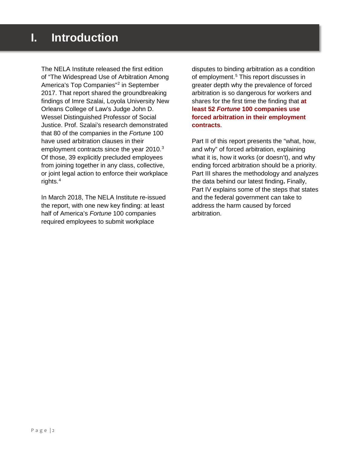<span id="page-2-0"></span>The NELA Institute released the first edition of "The Widespread Use of Arbitration Among America's Top Companies"[2](#page-3-2) in September 2017. That report shared the groundbreaking findings of Imre Szalai, Loyola University New Orleans College of Law's Judge John D. Wessel Distinguished Professor of Social Justice. Prof. Szalai's research demonstrated that 80 of the companies in the *Fortune* 100 have used arbitration clauses in their employment contracts since the year 2010.<sup>[3](#page-3-3)</sup> Of those, 39 explicitly precluded employees from joining together in any class, collective, or joint legal action to enforce their workplace rights[.4](#page-3-4)

In March 2018, The NELA Institute re-issued the report, with one new key finding: at least half of America's *Fortune* 100 companies required employees to submit workplace

disputes to binding arbitration as a condition of employment.<sup>[5](#page-3-5)</sup> This report discusses in greater depth why the prevalence of forced arbitration is so dangerous for workers and shares for the first time the finding that **at least 52** *Fortune* **100 companies use forced arbitration in their employment contracts**.

Part II of this report presents the "what, how, and why" of forced arbitration, explaining what it is, how it works (or doesn't), and why ending forced arbitration should be a priority. Part III shares the methodology and analyzes the data behind our latest finding**.** Finally, Part IV explains some of the steps that states and the federal government can take to address the harm caused by forced arbitration.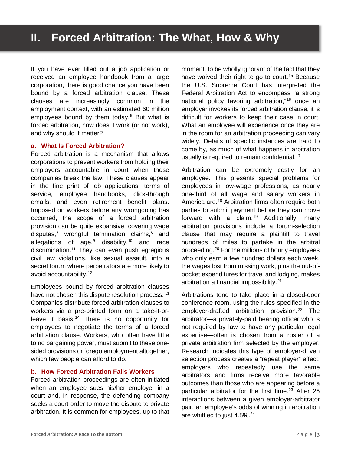<span id="page-3-6"></span><span id="page-3-5"></span><span id="page-3-4"></span><span id="page-3-3"></span><span id="page-3-2"></span><span id="page-3-1"></span><span id="page-3-0"></span>If you have ever filled out a job application or received an employee handbook from a large corporation, there is good chance you have been bound by a forced arbitration clause. These clauses are increasingly common in the employment context, with an estimated 60 million employees bound by them today.<sup>[6](#page-3-6)</sup> But what is forced arbitration, how does it work (or not work), and why should it matter?

#### <span id="page-3-11"></span><span id="page-3-10"></span><span id="page-3-9"></span><span id="page-3-8"></span><span id="page-3-7"></span>**a. What Is Forced Arbitration?**

<span id="page-3-18"></span><span id="page-3-17"></span><span id="page-3-16"></span><span id="page-3-15"></span><span id="page-3-14"></span><span id="page-3-13"></span><span id="page-3-12"></span>Forced arbitration is a mechanism that allows corporations to prevent workers from holding their employers accountable in court when those companies break the law. These clauses appear in the fine print of job applications, terms of service, employee handbooks, click-through emails, and even retirement benefit plans. Imposed on workers before any wrongdoing has occurred, the scope of a forced arbitration provision can be quite expansive, covering wage disputes, $7$  wrongful termination claims, $8$  and allegations of age, $9$  disability, $10$  and race discrimination.<sup>[11](#page-3-11)</sup> They can even push egregious civil law violations, like sexual assault, into a secret forum where perpetrators are more likely to avoid accountability.<sup>[12](#page-3-12)</sup>

<span id="page-3-26"></span><span id="page-3-25"></span><span id="page-3-24"></span><span id="page-3-23"></span><span id="page-3-22"></span><span id="page-3-21"></span><span id="page-3-20"></span><span id="page-3-19"></span>Employees bound by forced arbitration clauses have not chosen this dispute resolution process*.* [13](#page-3-13) Companies distribute forced arbitration clauses to workers via a pre-printed form on a take-it-orleave it basis.[14](#page-3-14) There is no opportunity for employees to negotiate the terms of a forced arbitration clause. Workers, who often have little to no bargaining power, must submit to these onesided provisions or forego employment altogether, which few people can afford to do.

#### <span id="page-3-29"></span><span id="page-3-28"></span><span id="page-3-27"></span>**b. How Forced Arbitration Fails Workers**

<span id="page-3-35"></span><span id="page-3-34"></span><span id="page-3-33"></span><span id="page-3-32"></span><span id="page-3-31"></span><span id="page-3-30"></span>Forced arbitration proceedings are often initiated when an employee sues his/her employer in a court and, in response, the defending company seeks a court order to move the dispute to private arbitration. It is common for employees, up to that moment, to be wholly ignorant of the fact that they have waived their right to go to court.<sup>[15](#page-3-15)</sup> Because the U.S. Supreme Court has interpreted the Federal Arbitration Act to encompass "a strong national policy favoring arbitration,"[16](#page-3-16) once an employer invokes its forced arbitration clause, it is difficult for workers to keep their case in court. What an employee will experience once they are in the room for an arbitration proceeding can vary widely. Details of specific instances are hard to come by, as much of what happens in arbitration usually is required to remain confidential.<sup>[17](#page-3-17)</sup>

Arbitration can be extremely costly for an employee. This presents special problems for employees in low-wage professions, as nearly one-third of all wage and salary workers in America are.[18](#page-3-18) Arbitration firms often require both parties to submit payment before they can move forward with a claim.<sup>[19](#page-3-19)</sup> Additionally, many arbitration provisions include a forum-selection clause that may require a plaintiff to travel hundreds of miles to partake in the arbitral proceeding.[20](#page-3-20) For the millions of hourly employees who only earn a few hundred dollars each week, the wages lost from missing work, plus the out-ofpocket expenditures for travel and lodging, makes arbitration a financial impossibility.[21](#page-3-21)

Arbitrations tend to take place in a closed-door conference room, using the rules specified in the employer-drafted arbitration provision.<sup>[22](#page-3-22)</sup> The arbitrator—a privately-paid hearing officer who is not required by law to have any particular legal expertise—often is chosen from a roster of a private arbitration firm selected by the employer. Research indicates this type of employer-driven selection process creates a "repeat player" effect: employers who repeatedly use the same arbitrators and firms receive more favorable outcomes than those who are appearing before a particular arbitrator for the first time.<sup>[23](#page-3-23)</sup> After 25 interactions between a given employer-arbitrator pair, an employee's odds of winning in arbitration are whittled to just 4.5%.<sup>[24](#page-3-24)</sup>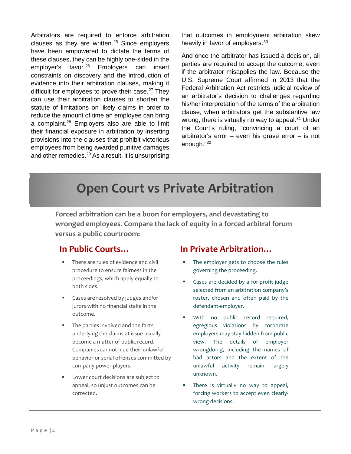<span id="page-4-12"></span><span id="page-4-11"></span><span id="page-4-10"></span><span id="page-4-9"></span><span id="page-4-8"></span><span id="page-4-7"></span><span id="page-4-6"></span><span id="page-4-5"></span><span id="page-4-4"></span><span id="page-4-3"></span><span id="page-4-2"></span><span id="page-4-1"></span><span id="page-4-0"></span>Arbitrators are required to enforce arbitration clauses as they are written. $25$  Since employers have been empowered to dictate the terms of these clauses, they can be highly one-sided in the employer's favor.<sup>[26](#page-3-26)</sup> Employers can insert constraints on discovery and the introduction of evidence into their arbitration clauses, making it difficult for employees to prove their case.<sup>[27](#page-3-27)</sup> They can use their arbitration clauses to shorten the statute of limitations on likely claims in order to reduce the amount of time an employee can bring a complaint.[28](#page-3-28) Employers also are able to limit their financial exposure in arbitration by inserting provisions into the clauses that prohibit victorious employees from being awarded punitive damages and other remedies.<sup>[29](#page-3-29)</sup> As a result, it is unsurprising that outcomes in employment arbitration skew heavily in favor of employers.[30](#page-3-30)

And once the arbitrator has issued a decision, all parties are required to accept the outcome, even if the arbitrator misapplies the law. Because the U.S. Supreme Court affirmed in 2013 that the Federal Arbitration Act restricts judicial review of an arbitrator's decision to challenges regarding his/her interpretation of the terms of the arbitration clause, when arbitrators get the substantive law wrong, there is virtually no way to appeal.<sup>[31](#page-3-31)</sup> Under the Court's ruling, "convincing a court of an arbitrator's error – even his grave error – is not enough."[32](#page-3-32)

## <span id="page-4-15"></span><span id="page-4-14"></span><span id="page-4-13"></span>**Open Court vs Private Arbitration**

<span id="page-4-26"></span><span id="page-4-25"></span><span id="page-4-24"></span><span id="page-4-23"></span><span id="page-4-22"></span><span id="page-4-21"></span><span id="page-4-20"></span><span id="page-4-19"></span><span id="page-4-18"></span><span id="page-4-17"></span><span id="page-4-16"></span>**Forced arbitration can be a boon for employers, and devastating to wronged employees. Compare the lack of equity in a forced arbitral forum versus a public courtroom:**

### <span id="page-4-29"></span><span id="page-4-28"></span><span id="page-4-27"></span>**In Public Courts…**

- There are rules of evidence and civil procedure to ensure fairness in the proceedings, which apply equally to both sides.
- <span id="page-4-32"></span><span id="page-4-31"></span><span id="page-4-30"></span>■ Cases are resolved by judges and/or jurors with no financial stake in the outcome.
- <span id="page-4-35"></span><span id="page-4-34"></span><span id="page-4-33"></span> The parties involved and the facts underlying the claims at issue usually become a matter of public record. Companies cannot hide their unlawful behavior or serial offenses committed by company power-players.
- <span id="page-4-42"></span><span id="page-4-41"></span><span id="page-4-40"></span><span id="page-4-39"></span><span id="page-4-38"></span><span id="page-4-37"></span><span id="page-4-36"></span> Lower court decisions are subject to appeal, so unjust outcomes can be corrected.

### **In Private Arbitration…**

- The employer gets to choose the rules governing the proceeding.
- Cases are decided by a for-profit judge selected from an arbitration company's roster, chosen and often paid by the defendant-employer.
- **With no public record required,** egregious violations by corporate employers may stay hidden from public view. The details of employer wrongdoing, including the names of bad actors and the extent of the unlawful activity remain largely unknown.
- **There is virtually no way to appeal,** forcing workers to accept even clearlywrong decisions.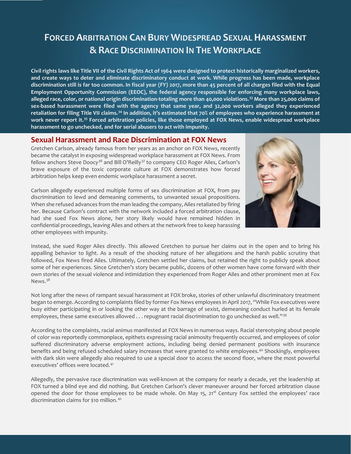## **FORCED ARBITRATION CAN BURY WIDESPREAD SEXUAL HARASSMENT & RACE DISCRIMINATION IN THE WORKPLACE**

<span id="page-5-7"></span><span id="page-5-6"></span><span id="page-5-5"></span><span id="page-5-4"></span><span id="page-5-3"></span><span id="page-5-2"></span><span id="page-5-1"></span><span id="page-5-0"></span>**Civil rights laws like Title VII of the Civil Rights Act of 1964 were designed to protect historically marginalized workers, and create ways to deter and eliminate discriminatory conduct at work. While progress has been made, workplace discrimination still is far too common. In fiscal year (FY) 2017, more than 45 percent of all charges filed with the Equal Employment Opportunity Commission (EEOC), the federal agency responsible for enforcing many workplace laws, alleged race, color, or national origin discrimination-totaling more than 40,000 violations.[33](#page-3-33) More than 25,000 claims of sex-based harassment were filed with the agency that same year, and 32,000 workers alleged they experienced retaliation for filing Title VII claims.[34](#page-3-34) In addition, it's estimated that 70% of employees who experience harassment at work never report it.[35](#page-3-35) Forced arbitration policies, like those employed at FOX News, enable widespread workplace harassment to go unchecked, and for serial abusers to act with impunity.** 

### <span id="page-5-13"></span><span id="page-5-12"></span><span id="page-5-11"></span><span id="page-5-10"></span><span id="page-5-9"></span><span id="page-5-8"></span>**Sexual Harassment and Race Discrimination at FOX News**

<span id="page-5-16"></span><span id="page-5-15"></span><span id="page-5-14"></span>Gretchen Carlson, already famous from her years as an anchor on FOX News, recently became the catalyst in exposing widespread workplace harassment at FOX News. From fellow anchors Steve Doocy<sup>[36](#page-4-0)</sup> and Bill O'Reilly<sup>[37](#page-4-1)</sup> to company CEO Roger Ailes, Carlson's brave exposure of the toxic corporate culture at FOX demonstrates how forced arbitration helps keep even endemic workplace harassment a secret.



<span id="page-5-17"></span>Carlson allegedly experienced multiple forms of sex discrimination at FOX, from pay discrimination to lewd and demeaning comments, to unwanted sexual propositions. When she refused advances from the man leading the company, Ailes retaliated by firing her. Because Carlson's contract with the network included a forced arbitration clause, had she sued Fox News alone, her story likely would have remained hidden in confidential proceedings, leaving Ailes and others at the network free to keep harassing other employees with impunity.

Instead, she sued Roger Ailes directly. This allowed Gretchen to pursue her claims out in the open and to bring his appalling behavior to light. As a result of the shocking nature of her allegations and the harsh public scrutiny that followed, Fox News fired Ailes. Ultimately, Gretchen settled her claims, but retained the right to publicly speak about some of her experiences. Since Gretchen's story became public, dozens of other women have come forward with their own stories of the sexual violence and intimidation they experienced from Roger Ailes and other prominent men at Fox News.[38](#page-4-2)

Not long after the news of rampant sexual harassment at FOX broke, stories of other unlawful discriminatory treatment began to emerge. According to complaints filed by former Fox News employees in April 2017, "While Fox executives were busy either participating in or looking the other way at the barrage of sexist, demeaning conduct hurled at its female employees, these same executives allowed  $\ldots$  repugnant racial discrimination to go unchecked as well."<sup>[39](#page-4-3)</sup>

According to the complaints, racial animus manifested at FOX News in numerous ways. Racial stereotyping about people of color was reportedly commonplace, epithets expressing racial animosity frequently occurred, and employees of color suffered discriminatory adverse employment actions, including being denied permanent positions with insurance benefits and being refused scheduled salary increases that were granted to white employees.<sup>[40](#page-4-4)</sup> Shockingly, employees with dark skin were allegedly also required to use a special door to access the second floor, where the most powerful executives' offices were located.[41](#page-4-5)

Allegedly, the pervasive race discrimination was well-known at the company for nearly a decade, yet the leadership at FOX turned a blind eye and did nothing. But Gretchen Carlson's clever maneuver around her forced arbitration clause opened the door for those employees to be made whole. On May 15, 21<sup>st</sup> Century Fox settled the employees' race discrimination claims for \$10 million.[42](#page-4-6)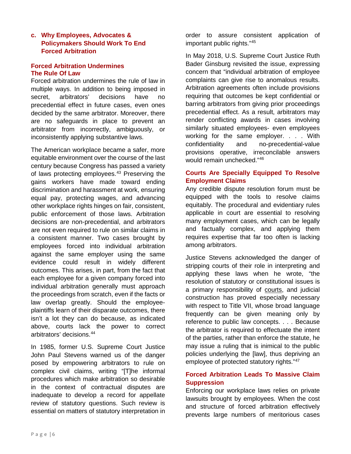#### <span id="page-6-0"></span>**c. Why Employees, Advocates & Policymakers Should Work To End Forced Arbitration**

#### **Forced Arbitration Undermines The Rule Of Law**

Forced arbitration undermines the rule of law in multiple ways. In addition to being imposed in secret, arbitrators' decisions have no precedential effect in future cases, even ones decided by the same arbitrator. Moreover, there are no safeguards in place to prevent an arbitrator from incorrectly, ambiguously, or inconsistently applying substantive laws.

The American workplace became a safer, more equitable environment over the course of the last century because Congress has passed a variety of laws protecting employees.<sup>[43](#page-4-7)</sup> Preserving the gains workers have made toward ending discrimination and harassment at work, ensuring equal pay, protecting wages, and advancing other workplace rights hinges on fair, consistent, public enforcement of those laws. Arbitration decisions are non-precedential, and arbitrators are not even required to rule on similar claims in a consistent manner. Two cases brought by employees forced into individual arbitration against the same employer using the same evidence could result in widely different outcomes. This arises, in part, from the fact that each employee for a given company forced into individual arbitration generally must approach the proceedings from scratch, even if the facts or law overlap greatly. Should the employeeplaintiffs learn of their disparate outcomes, there isn't a lot they can do because, as indicated above, courts lack the power to correct arbitrators' decisions.[44](#page-4-8)

In 1985, former U.S. Supreme Court Justice John Paul Stevens warned us of the danger posed by empowering arbitrators to rule on complex civil claims, writing "[T]he informal procedures which make arbitration so desirable in the context of contractual disputes are inadequate to develop a record for appellate review of statutory questions. Such review is essential on matters of statutory interpretation in

order to assure consistent application of important public rights."[45](#page-4-9) 

In May 2018, U.S. Supreme Court Justice Ruth Bader Ginsburg revisited the issue, expressing concern that "individual arbitration of employee complaints can give rise to anomalous results. Arbitration agreements often include provisions requiring that outcomes be kept confidential or barring arbitrators from giving prior proceedings precedential effect. As a result, arbitrators may render conflicting awards in cases involving similarly situated employees- even employees working for the same employer. . . . With confidentiality and no-precedential-value provisions operative, irreconcilable answers would remain unchecked."[46](#page-4-10) 

#### **Courts Are Specially Equipped To Resolve Employment Claims**

Any credible dispute resolution forum must be equipped with the tools to resolve claims equitably. The procedural and evidentiary rules applicable in court are essential to resolving many employment cases, which can be legally and factually complex, and applying them requires expertise that far too often is lacking among arbitrators.

Justice Stevens acknowledged the danger of stripping courts of their role in interpreting and applying these laws when he wrote, "the resolution of statutory or constitutional issues is a primary responsibility of courts, and judicial construction has proved especially necessary with respect to Title VII, whose broad language frequently can be given meaning only by reference to public law concepts. . . . Because the arbitrator is required to effectuate the intent of the parties, rather than enforce the statute, he may issue a ruling that is inimical to the public policies underlying the [law], thus depriving an employee of protected statutory rights."[47](#page-4-11) 

#### **Forced Arbitration Leads To Massive Claim Suppression**

Enforcing our workplace laws relies on private lawsuits brought by employees. When the cost and structure of forced arbitration effectively prevents large numbers of meritorious cases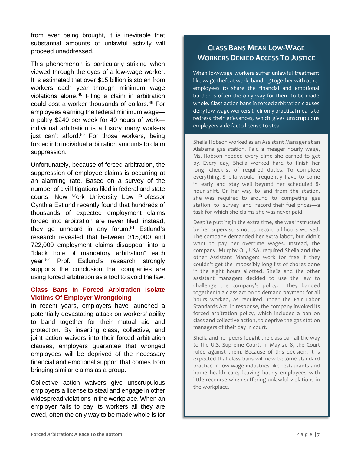from ever being brought, it is inevitable that substantial amounts of unlawful activity will proceed unaddressed.

This phenomenon is particularly striking when viewed through the eyes of a low-wage worker. It is estimated that over \$15 billion is stolen from workers each year through minimum wage violations alone.<sup>[48](#page-4-12)</sup> Filing a claim in arbitration could cost a worker thousands of dollars.[49](#page-4-13) For employees earning the federal minimum wage a paltry \$240 per week for 40 hours of work individual arbitration is a luxury many workers just can't afford.<sup>[50](#page-4-14)</sup> For those workers, being forced into individual arbitration amounts to claim suppression.

Unfortunately, because of forced arbitration, the suppression of employee claims is occurring at an alarming rate. Based on a survey of the number of civil litigations filed in federal and state courts, New York University Law Professor Cynthia Estlund recently found that hundreds of thousands of expected employment claims forced into arbitration are never filed; instead, they go unheard in any forum.<sup>[51](#page-4-15)</sup> Estlund's research revealed that between 315,000 and 722,000 employment claims disappear into a "black hole of mandatory arbitration" each year.[52](#page-4-16) Prof. Estlund's research strongly supports the conclusion that companies are using forced arbitration as a tool to avoid the law.

#### **Class Bans In Forced Arbitration Isolate Victims Of Employer Wrongdoing**

In recent years, employers have launched a potentially devastating attack on workers' ability to band together for their mutual aid and protection. By inserting class, collective, and joint action waivers into their forced arbitration clauses, employers guarantee that wronged employees will be deprived of the necessary financial and emotional support that comes from bringing similar claims as a group.

Collective action waivers give unscrupulous employers a license to steal and engage in other widespread violations in the workplace. When an employer fails to pay its workers all they are owed, often the only way to be made whole is for

### **CLASS BANS MEAN LOW-WAGE WORKERS DENIED ACCESS TO JUSTICE**

When low-wage workers suffer unlawful treatment like wage theft at work, banding together with other employees to share the financial and emotional burden is often the only way for them to be made whole. Class action bans in forced arbitration clauses deny low-wage workers their only practical means to redress their grievances, which gives unscrupulous employers a de facto license to steal.

Sheila Hobson worked as an Assistant Manager at an Alabama gas station. Paid a meager hourly wage, Ms. Hobson needed every dime she earned to get by. Every day, Sheila worked hard to finish her long checklist of required duties. To complete everything, Sheila would frequently have to come in early and stay well beyond her scheduled 8 hour shift. On her way to and from the station, she was required to around to competing gas station to survey and record their fuel prices—a task for which she claims she was never paid.

Despite putting in the extra time, she was instructed by her supervisors not to record all hours worked. The company demanded her extra labor, but didn't want to pay her overtime wages. Instead, the company, Murphy Oil, USA, required Sheila and the other Assistant Managers work for free if they couldn't get the impossibly long list of chores done in the eight hours allotted. Sheila and the other assistant managers decided to use the law to challenge the company's policy. They banded together in a class action to demand payment for all hours worked, as required under the Fair Labor Standards Act. In response, the company invoked its forced arbitration policy, which included a ban on class and collective action, to deprive the gas station managers of their day in court.

Sheila and her peers fought the class ban all the way to the U.S. Supreme Court. In May 2018, the Court ruled against them. Because of this decision, it is expected that class bans will now become standard practice in low-wage industries like restaurants and home health care, leaving hourly employees with little recourse when suffering unlawful violations in the workplace.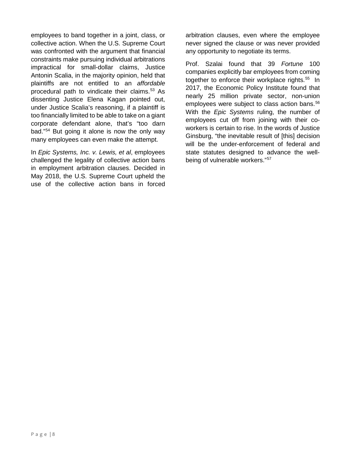employees to band together in a joint, class, or collective action. When the U.S. Supreme Court was confronted with the argument that financial constraints make pursuing individual arbitrations impractical for small-dollar claims, Justice Antonin Scalia, in the majority opinion, held that plaintiffs are not entitled to an *affordable* procedural path to vindicate their claims.[53](#page-4-17) As dissenting Justice Elena Kagan pointed out, under Justice Scalia's reasoning, if a plaintiff is too financially limited to be able to take on a giant corporate defendant alone, that's "too darn bad."[54](#page-4-18) But going it alone is now the only way many employees can even make the attempt.

In *Epic Systems, Inc. v. Lewis, et al*, employees challenged the legality of collective action bans in employment arbitration clauses. Decided in May 2018, the U.S. Supreme Court upheld the use of the collective action bans in forced

arbitration clauses, even where the employee never signed the clause or was never provided any opportunity to negotiate its terms.

Prof. Szalai found that 39 *Fortune* 100 companies explicitly bar employees from coming together to enforce their workplace rights.<sup>[55](#page-4-19)</sup> In 2017, the Economic Policy Institute found that nearly 25 million private sector, non-union employees were subject to class action bans.<sup>[56](#page-4-20)</sup> With the *Epic Systems* ruling, the number of employees cut off from joining with their coworkers is certain to rise. In the words of Justice Ginsburg, "the inevitable result of [this] decision will be the under-enforcement of federal and state statutes designed to advance the wellbeing of vulnerable workers."[57](#page-4-21)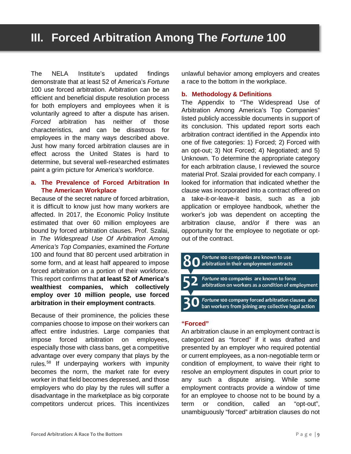<span id="page-9-0"></span>The NELA Institute's updated findings demonstrate that at least 52 of America's *Fortune*  100 use forced arbitration. Arbitration can be an efficient and beneficial dispute resolution process for both employers and employees when it is voluntarily agreed to after a dispute has arisen. *Forced* arbitration has neither of those characteristics, and can be disastrous for employees in the many ways described above. Just how many forced arbitration clauses are in effect across the United States is hard to determine, but several well-researched estimates paint a grim picture for America's workforce.

#### **a. The Prevalence of Forced Arbitration In The American Workplace**

Because of the secret nature of forced arbitration, it is difficult to know just how many workers are affected. In 2017, the Economic Policy Institute estimated that over 60 million employees are bound by forced arbitration clauses. Prof. Szalai, in *The Widespread Use Of Arbitration Among America's Top Companies*, examined the *Fortune*  100 and found that 80 percent used arbitration in some form, and at least half appeared to impose forced arbitration on a portion of their workforce. This report confirms that **at least 52 of America's wealthiest companies, which collectively employ over 10 million people, use forced arbitration in their employment contracts**.

Because of their prominence, the policies these companies choose to impose on their workers can affect entire industries. Large companies that impose forced arbitration on employees, especially those with class bans, get a competitive advantage over every company that plays by the rules.[58](#page-4-22) If underpaying workers with impunity becomes the norm, the market rate for every worker in that field becomes depressed, and those employers who do play by the rules will suffer a disadvantage in the marketplace as big corporate competitors undercut prices. This incentivizes unlawful behavior among employers and creates a race to the bottom in the workplace.

#### **b. Methodology & Definitions**

The Appendix to "The Widespread Use of Arbitration Among America's Top Companies" listed publicly accessible documents in support of its conclusion. This updated report sorts each arbitration contract identified in the Appendix into one of five categories: 1) Forced; 2) Forced with an opt-out; 3) Not Forced; 4) Negotiated; and 5) Unknown. To determine the appropriate category for each arbitration clause, I reviewed the source material Prof. Szalai provided for each company. I looked for information that indicated whether the clause was incorporated into a contract offered on a take-it-or-leave-it basis, such as a job application or employee handbook, whether the worker's job was dependent on accepting the arbitration clause, and/or if there was an opportunity for the employee to negotiate or optout of the contract.

- Fortune 100 companies are known to use arbitration in their employment contracts Fortune 100 companies are known to force
	- arbitration on workers as a condition of employment
- Fortune 100 company forced arbitration clauses also ban workers from joining any collective legal action

#### **"Forced"**

An arbitration clause in an employment contract is categorized as "forced" if it was drafted and presented by an employer who required potential or current employees, as a non-negotiable term or condition of employment, to waive their right to resolve an employment disputes in court prior to any such a dispute arising. While some employment contracts provide a window of time for an employee to choose not to be bound by a term or condition, called an "opt-out", unambiguously "forced" arbitration clauses do not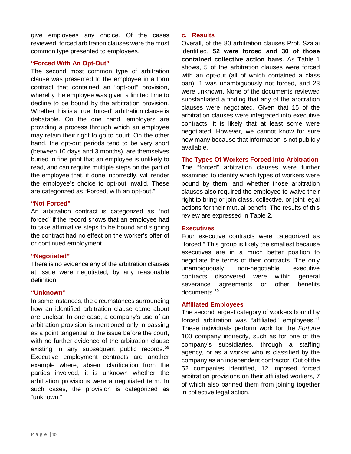<span id="page-10-0"></span>give employees any choice. Of the cases reviewed, forced arbitration clauses were the most common type presented to employees.

#### **"Forced With An Opt-Out"**

The second most common type of arbitration clause was presented to the employee in a form contract that contained an "opt-out" provision, whereby the employee was given a limited time to decline to be bound by the arbitration provision. Whether this is a true "forced" arbitration clause is debatable. On the one hand, employers are providing a process through which an employee may retain their right to go to court. On the other hand, the opt-out periods tend to be very short (between 10 days and 3 months), are themselves buried in fine print that an employee is unlikely to read, and can require multiple steps on the part of the employee that, if done incorrectly, will render the employee's choice to opt-out invalid. These are categorized as "Forced, with an opt-out."

#### **"Not Forced"**

An arbitration contract is categorized as "not forced" if the record shows that an employee had to take affirmative steps to be bound and signing the contract had no effect on the worker's offer of or continued employment.

#### **"Negotiated"**

There is no evidence any of the arbitration clauses at issue were negotiated, by any reasonable definition.

#### **"Unknown"**

In some instances, the circumstances surrounding how an identified arbitration clause came about are unclear. In one case, a company's use of an arbitration provision is mentioned only in passing as a point tangential to the issue before the court, with no further evidence of the arbitration clause existing in any subsequent public records.<sup>[59](#page-4-23)</sup> Executive employment contracts are another example where, absent clarification from the parties involved, it is unknown whether the arbitration provisions were a negotiated term. In such cases, the provision is categorized as "unknown."

#### **c. Results**

Overall, of the 80 arbitration clauses Prof. Szalai identified, **52 were forced and 30 of those contained collective action bans.** As Table 1 shows, 5 of the arbitration clauses were forced with an opt-out (all of which contained a class ban), 1 was unambiguously not forced, and 23 were unknown. None of the documents reviewed substantiated a finding that any of the arbitration clauses were negotiated. Given that 15 of the arbitration clauses were integrated into executive contracts, it is likely that at least some were negotiated. However, we cannot know for sure how many because that information is not publicly available.

**The Types Of Workers Forced Into Arbitration**

The "forced" arbitration clauses were further examined to identify which types of workers were bound by them, and whether those arbitration clauses also required the employee to waive their right to bring or join class, collective, or joint legal actions for their mutual benefit. The results of this review are expressed in Table 2.

#### **Executives**

Four executive contracts were categorized as "forced." This group is likely the smallest because executives are in a much better position to negotiate the terms of their contracts. The only unambiguously non-negotiable executive contracts discovered were within general severance agreements or other benefits documents.<sup>[60](#page-4-24)</sup>

#### **Affiliated Employees**

The second largest category of workers bound by forced arbitration was "affiliated" employees.<sup>[61](#page-4-25)</sup> These individuals perform work for the *Fortune*  100 company indirectly, such as for one of the company's subsidiaries, through a staffing agency, or as a worker who is classified by the company as an independent contractor. Out of the 52 companies identified, 12 imposed forced arbitration provisions on their affiliated workers, 7 of which also banned them from joining together in collective legal action.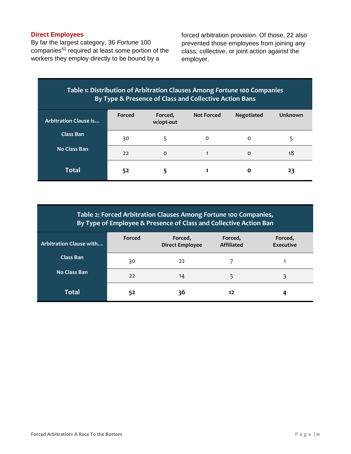#### **Direct Employees**

By far the largest category, 36 *Fortune* 100 companies<sup>[62](#page-4-26)</sup> required at least some portion of the workers they employ directly to be bound by a

forced arbitration provision. Of those, 22 also prevented those employees from joining any class, collective, or joint action against the employer.

### **Table 1: Distribution of Arbitration Clauses Among** *Fortune* **100 Companies By Type & Presence of Class and Collective Action Bans**

| <b>Arbitration Clause is</b> | Forced | Forced,<br>w/opt-out | <b>Not Forced</b> | <b>Negotiated</b> | <b>Unknown</b> |
|------------------------------|--------|----------------------|-------------------|-------------------|----------------|
| Class Ban                    | 30     |                      | 0                 | 0                 | -5             |
| <b>No Class Ban</b>          | 22     | o                    |                   | $\circ$           | 18             |
| <b>Total</b>                 | 52     |                      |                   | O                 | 23             |

| By Type of Employee & Presence of Class and Collective Action Ban |  |
|-------------------------------------------------------------------|--|

| Arbitration Clause with | Forced | Forced,<br><b>Direct Employee</b> | Forced,<br><b>Affiliated</b> | Forced,<br><b>Executive</b> |
|-------------------------|--------|-----------------------------------|------------------------------|-----------------------------|
| <b>Class Ban</b>        | 30     | 22                                |                              |                             |
| No Class Ban            | 22     | 14                                |                              |                             |
| <b>Total</b>            | 52     | 36                                | 12                           |                             |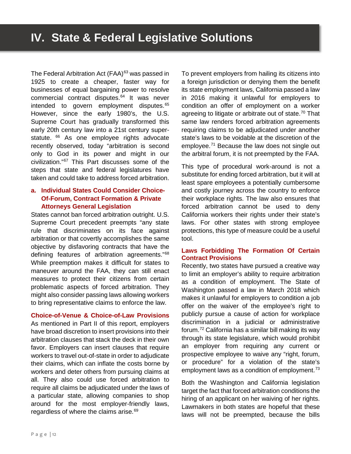<span id="page-12-0"></span>The Federal Arbitration Act (FAA)<sup>[63](#page-4-27)</sup> was passed in 1925 to create a cheaper, faster way for businesses of equal bargaining power to resolve commercial contract disputes.<sup>[64](#page-4-28)</sup> It was never intended to govern employment disputes.<sup>[65](#page-4-29)</sup> However, since the early 1980's, the U.S. Supreme Court has gradually transformed this early 20th century law into a 21st century super-statute. <sup>[66](#page-4-30)</sup> As one employee rights advocate recently observed, today "arbitration is second only to God in its power and might in our civilization."[67](#page-4-31) This Part discusses some of the steps that state and federal legislatures have taken and could take to address forced arbitration.

#### **a. Individual States Could Consider Choice-Of-Forum, Contract Formation & Private Attorneys General Legislation**

States cannot ban forced arbitration outright. U.S. Supreme Court precedent preempts "any state rule that discriminates on its face against arbitration or that covertly accomplishes the same objective by disfavoring contracts that have the defining features of arbitration agreements."[68](#page-4-32) While preemption makes it difficult for states to maneuver around the FAA, they can still enact measures to protect their citizens from certain problematic aspects of forced arbitration. They might also consider passing laws allowing workers to bring representative claims to enforce the law.

**Choice-of-Venue & Choice-of-Law Provisions** As mentioned in Part II of this report, employers have broad discretion to insert provisions into their arbitration clauses that stack the deck in their own favor. Employers can insert clauses that require workers to travel out-of-state in order to adjudicate their claims, which can inflate the costs borne by workers and deter others from pursuing claims at all. They also could use forced arbitration to require all claims be adjudicated under the laws of a particular state, allowing companies to shop around for the most employer-friendly laws, regardless of where the claims arise.<sup>[69](#page-4-33)</sup>

To prevent employers from hailing its citizens into a foreign jurisdiction or denying them the benefit its state employment laws, California passed a law in 2016 making it unlawful for employers to condition an offer of employment on a worker agreeing to litigate or arbitrate out of state.<sup>[70](#page-4-34)</sup> That same law renders forced arbitration agreements requiring claims to be adjudicated under another state's laws to be voidable at the discretion of the employee.[71](#page-4-35) Because the law does not single out the arbitral forum, it is not preempted by the FAA.

This type of procedural work-around is not a substitute for ending forced arbitration, but it will at least spare employees a potentially cumbersome and costly journey across the country to enforce their workplace rights. The law also ensures that forced arbitration cannot be used to deny California workers their rights under their state's laws. For other states with strong employee protections, this type of measure could be a useful tool.

#### **Laws Forbidding The Formation Of Certain Contract Provisions**

Recently, two states have pursued a creative way to limit an employer's ability to require arbitration as a condition of employment. The State of Washington passed a law in March 2018 which makes it unlawful for employers to condition a job offer on the waiver of the employee's right to publicly pursue a cause of action for workplace discrimination in a judicial or administrative forum[.72](#page-4-36) California has a similar bill making its way through its state legislature, which would prohibit an employer from requiring any current or prospective employee to waive any "right, forum, or procedure" for a violation of the state's employment laws as a condition of employment. $73$ 

Both the Washington and California legislation target the fact that forced arbitration conditions the hiring of an applicant on her waiving of her rights. Lawmakers in both states are hopeful that these laws will not be preempted, because the bills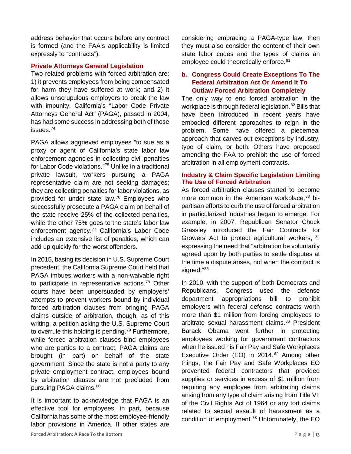<span id="page-13-0"></span>address behavior that occurs before any contract is formed (and the FAA's applicability is limited expressly to "contracts").

#### **Private Attorneys General Legislation**

Two related problems with forced arbitration are: 1) it prevents employees from being compensated for harm they have suffered at work; and 2) it allows unscrupulous employers to break the law with impunity. California's "Labor Code Private Attorneys General Act" (PAGA), passed in 2004, has had some success in addressing both of those issues.[74](#page-4-38)

PAGA allows aggrieved employees "to sue as a proxy or agent of California's state labor law enforcement agencies in collecting civil penalties for Labor Code violations."[75](#page-4-39) Unlike in a traditional private lawsuit, workers pursuing a PAGA representative claim are not seeking damages; they are collecting penalties for labor violations, as provided for under state law.[76](#page-4-40) Employees who successfully prosecute a PAGA claim on behalf of the state receive 25% of the collected penalties, while the other 75% goes to the state's labor law enforcement agency.<sup>[77](#page-4-41)</sup> California's Labor Code includes an extensive list of penalties, which can add up quickly for the worst offenders.

In 2015, basing its decision in U.S. Supreme Court precedent, the California Supreme Court held that PAGA imbues workers with a non-waivable right to participate in representative actions.<sup>[78](#page-4-42)</sup> Other courts have been unpersuaded by employers' attempts to prevent workers bound by individual forced arbitration clauses from bringing PAGA claims outside of arbitration, though, as of this writing, a petition asking the U.S. Supreme Court to overrule this holding is pending.<sup>[79](#page-5-0)</sup> Furthermore, while forced arbitration clauses bind employees who are parties to a contract, PAGA claims are brought (in part) on behalf of the state government. Since the state is not a party to any private employment contract, employees bound by arbitration clauses are not precluded from pursuing PAGA claims.<sup>[80](#page-5-1)</sup>

It is important to acknowledge that PAGA is an effective tool for employees, in part, because California has some of the most employee-friendly labor provisions in America. If other states are considering embracing a PAGA-type law, then they must also consider the content of their own state labor codes and the types of claims an employee could theoretically enforce.<sup>[81](#page-5-2)</sup>

#### **b. Congress Could Create Exceptions To The Federal Arbitration Act Or Amend It To Outlaw Forced Arbitration Completely**

The only way to end forced arbitration in the workplace is through federal legislation.<sup>[82](#page-5-3)</sup> Bills that have been introduced in recent years have embodied different approaches to reign in the problem. Some have offered a piecemeal approach that carves out exceptions by industry, type of claim, or both. Others have proposed amending the FAA to prohibit the use of forced arbitration in all employment contracts.

#### **Industry & Claim Specific Legislation Limiting The Use of Forced Arbitration**

As forced arbitration clauses started to become more common in the American workplace, <sup>[83](#page-5-4)</sup> bipartisan efforts to curb the use of forced arbitration in particularized industries began to emerge. For example, in 2007, Republican Senator Chuck Grassley introduced the Fair Contracts for Growers Act to protect agricultural workers, [84](#page-5-5) expressing the need that "arbitration be voluntarily agreed upon by both parties to settle disputes at the time a dispute arises, not when the contract is signed."<sup>[85](#page-5-6)</sup>

In 2010, with the support of both Democrats and Republicans, Congress used the defense department appropriations bill to prohibit employers with federal defense contracts worth more than \$1 million from forcing employees to arbitrate sexual harassment claims.<sup>[86](#page-5-7)</sup> President Barack Obama went further in protecting employees working for government contractors when he issued his Fair Pay and Safe Workplaces Executive Order (EO) in 2014.<sup>[87](#page-5-8)</sup> Among other things, the Fair Pay and Safe Workplaces EO prevented federal contractors that provided supplies or services in excess of \$1 million from requiring any employee from arbitrating claims arising from any type of claim arising from Title VII of the Civil Rights Act of 1964 or any tort claims related to sexual assault of harassment as a condition of employment.<sup>[88](#page-5-9)</sup> Unfortunately, the EO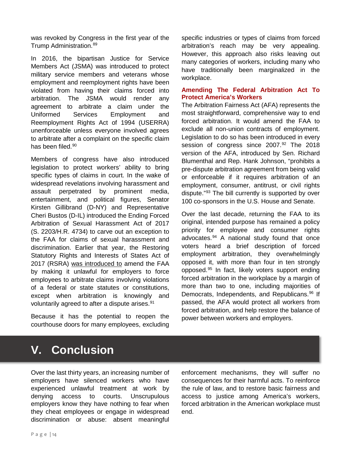<span id="page-14-0"></span>was revoked by Congress in the first year of the Trump Administration.<sup>[89](#page-5-10)</sup>

In 2016, the bipartisan Justice for Service Members Act (JSMA) was introduced to protect military service members and veterans whose employment and reemployment rights have been violated from having their claims forced into arbitration. The JSMA would render any agreement to arbitrate a claim under the Uniformed Services Employment and Reemployment Rights Act of 1994 (USERRA) unenforceable unless everyone involved agrees to arbitrate after a complaint on the specific claim has been filed.<sup>[90](#page-5-11)</sup>

Members of congress have also introduced legislation to protect workers' ability to bring specific types of claims in court. In the wake of widespread revelations involving harassment and assault perpetrated by prominent media, entertainment, and political figures, Senator Kirsten Gillibrand (D-NY) and Representative Cheri Bustos (D-IL) introduced the Ending Forced Arbitration of Sexual Harassment Act of 2017 (S. 2203/H.R. 4734) to carve out an exception to the FAA for claims of sexual harassment and discrimination. Earlier that year, the Restoring Statutory Rights and Interests of States Act of 2017 (RSRA) was introduced to amend the FAA by making it unlawful for employers to force employees to arbitrate claims involving violations of a federal or state statutes or constitutions, except when arbitration is knowingly and voluntarily agreed to after a dispute arises.<sup>[91](#page-5-12)</sup>

Because it has the potential to reopen the courthouse doors for many employees, excluding specific industries or types of claims from forced arbitration's reach may be very appealing. However, this approach also risks leaving out many categories of workers, including many who have traditionally been marginalized in the workplace.

#### **Amending The Federal Arbitration Act To Protect America's Workers**

The Arbitration Fairness Act (AFA) represents the most straightforward, comprehensive way to end forced arbitration. It would amend the FAA to exclude all non-union contracts of employment. Legislation to do so has been introduced in every session of congress since 2007.<sup>[92](#page-5-13)</sup> The 2018 version of the AFA, introduced by Sen. Richard Blumenthal and Rep. Hank Johnson, "prohibits a pre-dispute arbitration agreement from being valid or enforceable if it requires arbitration of an employment, consumer, antitrust, or civil rights dispute."[93](#page-5-14) The bill currently is supported by over 100 co-sponsors in the U.S. House and Senate.

Over the last decade, returning the FAA to its original, intended purpose has remained a policy priority for employee and consumer rights advocates.[94](#page-5-15) A national study found that once voters heard a brief description of forced employment arbitration, they overwhelmingly opposed it, with more than four in ten strongly opposed.[95](#page-5-16) In fact, likely voters support ending forced arbitration in the workplace by a margin of more than two to one, including majorities of Democrats, Independents, and Republicans.<sup>[96](#page-5-17)</sup> If passed, the AFA would protect all workers from forced arbitration, and help restore the balance of power between workers and employers.

## **V. Conclusion**

Over the last thirty years, an increasing number of employers have silenced workers who have experienced unlawful treatment at work by denying access to courts. Unscrupulous employers know they have nothing to fear when they cheat employees or engage in widespread discrimination or abuse: absent meaningful enforcement mechanisms, they will suffer no consequences for their harmful acts. To reinforce the rule of law, and to restore basic fairness and access to justice among America's workers, forced arbitration in the American workplace must end.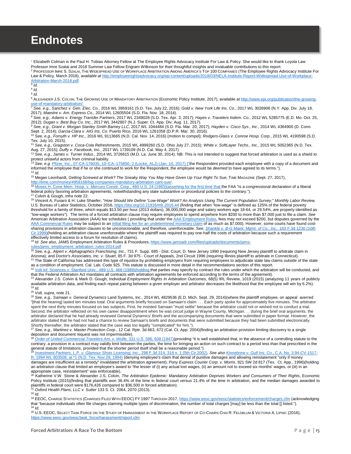## <span id="page-15-0"></span>**Endnotes**

<sup>1</sup> Elizabeth Colman is the Paul H. Tobias Attorney Fellow at The Employee Rights Advocacy Institute For Law & Policy. She would like to thank Loyola Law<br>Professor Imre Szalai and 2018 Summer Law Fellow Engram Wilkinson fo <sup>2</sup> PROFESSOR IMRE S. SZALAI, THE WIDESPREAD USE OF WORKPLACE ARBITRATION AMONG AMERICA'S TOP 100 COMPANIES (The Employee Rights Advocacy Institute For Law & Policy, March 2018), *available at* [http://employeerightsadvocacy.org/wp-content/uploads/2018/03/NELA-Institute-Report-Widespread-Use-of-Workplace-](http://employeerightsadvocacy.org/wp-content/uploads/2018/03/NELA-Institute-Report-Widespread-Use-of-Workplace-Arbitration-March-2018.pdf)[Arbitration-March-2018.pdf](http://employeerightsadvocacy.org/wp-content/uploads/2018/03/NELA-Institute-Report-Widespread-Use-of-Workplace-Arbitration-March-2018.pdf)*.* <sup>3</sup> *Id.*

<sup>4</sup> *Id.*

<sup>5</sup> *Id.*

<sup>6</sup> ALEXANDER J.S. COLVIN, THE GROWING USE OF MANDATORY ARBITRATION (Economic Policy Institute, 2017), available a[t http://www.epi.org/publication/the-growing-](http://www.epi.org/publication/the-growing-use-of-mandatory-arbitration/)

<u>[use-of-mandatory-arbitration/.](http://www.epi.org/publication/the-growing-use-of-mandatory-arbitration/)</u><br><sup>7</sup> See, e.g., Sanchez v. Gen. Elec. Co., 2016 WL 3959161 (S.D. Tex. July 22, 2016); *Gold v. New York Life Ins. Co.,* 2017 WL 3026906 (N.Y. App. Div. July 18,

2017); Maestre v. Am. Express Co., 2014 WL 12605504 (S.D. Fla. Nov. 18, 2014).<br><sup>8</sup> See, e.g., Adams v. Energy Transfer Partners, 2017 WL 2349028 (S.D. Tex. Apr. 3, 2017); Hayes v. Travelers Indem. Co., 2012 WL 5285775 (E.D 2012); Dugan v. Best Buy Co. Inc., 2017 WL 3442807 (N.J. Super. Ct. App. Div. Aug. 11, 2017).<br>9 See, e.g., Grant v. Morgan Stanley Smith Barney LLC, 2017 WL 1044484 (S.D. Fla. Mar. 20, 2017); Hayden v. Cisco Sys., Inc., 20

Sept. 2, 2014); *Garcia-Clara v. AIG Ins. Co.* Puerto Rico, 2016 WL 1261058 (D.P.R. Mar. 30, 2016).<br><sup>10</sup> See, e.g., *Forsyth v. HP Inc.*, 2016 WL 9113665 (N.D. Cal. Nov. 14, 2016) (motion to compel); *Rodgers-Glass v. Conr* Tex. July 10, 2015).

<sup>11</sup> *See, e.g., Gragston v. Coca-Cola Refreshments*, 2015 WL 4999260 (S.D. Ohio July 27, 2015); *White v. SoftLayer Techs., Inc.*, 2015 WL 5052365 (N.D. Tex. Aug. 27, 2015); *Duffy v. Facebook, Inc.*, 2017 WL 1739109 (N.D. Cal. May 4, 2017).

<sup>12</sup> *See, e.g., James v. Turner Indus.*, 2014 WL 3726615 (M.D. La. June 30, 2014). NB: This is not intended to suggest that forced arbitration is used as a shield to protect unlawful actors from criminal liability.

<sup>13</sup> *See, e.g.* [Pfizer, Inc., 07-CA-176035, 10–CA–175850, 2 \(Locke, ALJ\) \(Jan. 10, 2017\)](https://www.nlrb.gov/cases-decisions/weekly-summaries-decisions/summary-nlrb-decisions-week-january-9-13-2017) ("the Respondent provided each employee with a copy of a document and informed the employee that if he or she continued to work for the Respondent, the employee would be *deemed* to have agreed to its terms."). <sup>14</sup> *Id.*

<sup>15</sup> Megan Leonhardt, *Getting Screwed at Work? The Sneaky Way You May Have Given Up Your Right To Sue,* TIME MAGAZINE (Sept. 27, 2017),

http://time.com/money/4958168/big-companies-mandatory-arbitration-cant-sue/<br><sup>16</sup> [Moses H. Cone Mem. Hosp. v. Mercury Constr. Corp., 460 U.S. 24 \(1983\)\(](https://scholar.google.com/scholar_case?q=Moses+H.+Cone+Mem.+Hosp.+v.+Mercury+Constr.+Corp.,+460+U.S.+1+(1983)&hl=en&as_sdt=2006&case=4974455257504383275&scilh=0)asserting for the first time that the FAA "is a congressional declarati federal policy favoring arbitration agreements, notwithstanding any state substantive or procedural policies to the contrary.").

<sup>17</sup> Colvin & Gough, *infra* note 22.

<sup>18</sup> Vincent A. Fusaro & H. Luke Shaefer, "*How Should We Define "Low-Wage" Work? An Analysis Using The Current Population Survey*," *Monthly Labor Review,* U.S. Bureau of Labor Statistics, October 2016,<https://doi.org/10.21916/mlr.2016.44> (finding that when "low-wage" is defined as 125% of the federal poverty threshold for a family of three, which equals \$13.50 per hour (2013 dollars), 36,000,000 wage and salary workers age 18-64, or 29.54%, are properly identified as "low-wage workers"). The terms of a forced arbitration clause may require employees to spend anywhere from \$200 to more than \$7,000 just to file a claim. *See*  American Arbitration Association (AAA) fee schedules (providing that under th[e AAA Employment Rules,](https://www.adr.org/sites/default/files/Employment%20Rules.pdf) fees may not exceed \$200, but disputes governed by the [AAA Commercial Rules](https://www.adr.org/sites/default/files/Commercial%20Rules.pdf) may be subject to a[n initial filing fee for an undetermined monetary claim](https://www.adr.org/sites/default/files/Commercial%20Fee%20Schedule.pdf) of as much as \$7,000). However, some courts have found costsharing provisions in arbitration clauses to be unconscionable, and therefore, unenforceable. S*ee*, *[Shankle v. B-G Maint. Mgmt. of Co., Inc.,](https://scholar.google.com/scholar_case?case=6570918336824038518&q=Gourley+v.+Yellow+Transp.,+LLC,++178+F.+Supp.+2d+1196+(D.+Colo.+2001).&hl=en&as_sdt=2006)* 163 F.3d 1230 (10th [Cir.1999\)\(](https://scholar.google.com/scholar_case?case=6570918336824038518&q=Gourley+v.+Yellow+Transp.,+LLC,++178+F.+Supp.+2d+1196+(D.+Colo.+2001).&hl=en&as_sdt=2006)holding an arbitration clause unenforceable where the plaintiff was required to pay one-half the costs of arbitration because such a requirement effectively limited access to a forum for resolution of claims).

<sup>19</sup> *Id*. *See also,* JAMS Employment Arbitration Rules & Procedures[, https://www.jamsadr.com/files/uploads/documents/jams-](https://www.jamsadr.com/files/uploads/documents/jams-rules/jams_employment_arbitration_rules-2014.pdf)

[rules/jams\\_employment\\_arbitration\\_rules-2014.pdf](https://www.jamsadr.com/files/uploads/documents/jams-rules/jams_employment_arbitration_rules-2014.pdf)

<sup>20</sup> See, e.g., Alpert v. Alphagraphics Franchising, Inc., 731 F. Supp. 685 - Dist. Court, D. New Jersey 1990 (requiring New Jersey plaintiff to arbitrate claim in Arizona); and *Doctor's Associates, Inc. v. Stuart*, 85 F. <sup>21</sup> The State of California has addressed this type of injustice by prohibiting employers from requiring employees to adjudicate state law claims outside of the state<br>as a condition of employment. Cal. Lab. Code 925. This

<sup>22</sup> [Volt Inf. Sciences v. Stanford Univ., 489 U.S. 468 \(1989\)\(h](https://scholar.google.com/scholar_case?q=Volt+Inf.+Sciences+v.+Stanford+Univ.,+489+U.S.+468+(1989)&hl=en&as_sdt=2006&case=16072421083614314186&scilh=0)olding that parties may specify by contract the rules under which the arbitration will be conducted, and that the Federal Arbitration Act mandates all contracts with arbitration agreements be enforced according to the terms of the agreement).

<sup>23</sup> Alexander J.S. Colvin & Mark D. Gough, *Individual Employment Rights In Arbitration Outcomes*, 68(5) IRL Review, 1019 (2015) (analyzing 11 years of publicly available arbitration data, and finding each repeat pairing between a given employer and arbitrator decreases the likelihood that the employee will win by 6.2%). 24 *Id.*

<sup>25</sup> *Volt, supra*, note 21.

<sup>26</sup> *See, e.g., Samaan v. General Dynamics* Land Systems, Inc., 2014 WL 4829536 (E.D. Mich. Sept. 29, 2014)(where the plaintiff employee, on appeal averred "[that the hearing] lasted ten minutes total. Oral arguments briefly focused on Samaan's claim . . . Each party spoke for approximately five minutes. The arbitrator spent the next thirty minutes focused on two subjects. First, he insisted Samaan "must settle" because the arbitrator could not or wished not to conduct a trial. Second, the arbitrator reflected on his own career disappointment when he was circuit judge in Wayne County, Michigan. . . during the brief oral arguments, the arbitrator declared that he had already reviewed General Dynamics' Briefs and the accompanying documents that were submitted in paper format. However, the arbitrator stated that he had not had a chance to review Samaan's briefs and documents that were submitted because they had been submitted electronically.

Shortly thereafter, the arbitrator stated that the case was too legally "complicated" for him.").<br><sup>27</sup> See, e.g., *Martinez v. Master Protection Corp.*, 12 Cal. Rptr. 3d 663, 672 (Cal. Ct. App. 2004)(finding an arbitration deposition and document request was not impermissible).

<sup>28</sup> *[Order of United Commercial Travelers Am. v. Wolfe,](https://scholar.google.com/scholar_case?case=8212251652251900948&q=+employ!+arbitration+and++shorten++%22the+statute+of+limitation%22&hl=en&as_sdt=2006&as_ylo=2014)* 331 U.S. 586, 608 (1947)(providing "it is well established that, in the absence of a controlling statute to the contrary, a provision in a contract may validly limit between the parties, the time for bringing an action on such contract to a period less than that prescribed in the

general statute of limitations, provided that the shorter period itself shall be a reasonable period.").<br><sup>29</sup> <u>[Investment Partners, L.P. v. Glamour Shots Licensing, Inc.,](https://scholar.google.com/scholar_case?case=7305640075149995052&q=+Poly-America+175+S.W.3d+315&hl=en&as_sdt=2006) 298 F.3d 314, 318 n. 1 (5th Cir.2002)</u>. See also <u>K</u> [R, 1994 WL 803508, at \\*1 \(N.D. Tex. Nov.28, 1994\)](https://scholar.google.com/scholar_case?about=14540498560416236988&q=+Poly-America+175+S.W.3d+315&hl=en&as_sdt=2006) (denying employee's claim that denial of punitive damages and allowing reinstatement "only if money damages are insufficient as a remedy" invalidated the arbitration agreement); *Pony Express Courier Corp. v. Morris*, 921 SW 2d 817 (Tex. Ct. App., 1996)(holding an arbitration clause that limited an employee's award to "the lesser of (i) any actual lost wages, (ii) an amount not to exceed six months' wages, or (iii) in an appropriate case, reinstatement" was enforceable).

<sup>30</sup> Katherine V.W. Stone & Alexander J.S. Colvin, *The Arbitration Epidemic: Mandatory Arbitration Deprives Workers and Consumers of Their Rights*, Economic<br>Policy Institute (2015)(finding that plaintiffs won 36.4% of the plaintiffs in federal court were \$176,426 compared to \$36,500 in forced arbitration). <sup>31</sup> *Oxford Health Plans, LLC v. Sutter* 133 S. Ct. 2064, 2070 (2013).

<sup>32</sup> *Id.*

33 EEOC, CHARGE STATISTICS (CHARGES FILED WITH EEOC) FY 1997 THROUGH 2017,<https://www.eeoc.gov/eeoc/statistics/enforcement/charges.cfm> (acknowledging that "because individuals often file charges claiming multiple types of discrimination, the number of total charges [may] be less than the total [] listed."). <sup>34</sup> *Id.*

<sup>35</sup> U.S. EEOC, SELECT TASK FORCE ON THE STUDY OF HARASSMENT IN THE WORKPLACE REPORT OF CO-CHAIRS CHAI R. FELDBLUM & VICTORIA A. LIPNIC (2016), [https://www.eeoc.gov/eeoc/task\\_force/harassment/report.cfm](https://www.eeoc.gov/eeoc/task_force/harassment/report.cfm)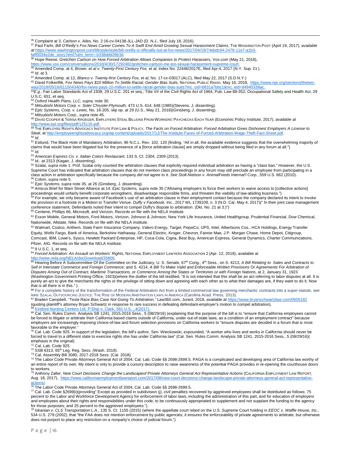<sup>36</sup> Complaint at 3, *Carlson v. Ailes,* No. 2:16-cv-04138-JLL-JAD (D. N.J., filed July 18, 2016).

<sup>37</sup> Paul Farhi, *Bill O'Reilly's Fox News Career Comes To A Swift End Amid Growing Sexual Harassment Claims*, THE WASHINGTON POST (April 19, 2017), *available at* [https://www.washingtonpost.com/lifestyle/style/bill-oreilly-is-officially-out-at-fox-news/2017/04/19/74ebdc94-2476-11e7-a1b3-](https://www.washingtonpost.com/lifestyle/style/bill-oreilly-is-officially-out-at-fox-news/2017/04/19/74ebdc94-2476-11e7-a1b3-faff0034e2de_story.html?utm_term=.b338ddd28b3d)

- Farff0034e2de\_story.html?utm\_term=.b338ddd28b3d.<br><sup>38</sup> Hope Reese, *Gretchen Carlson on How Forced Arbitration Allows Companies to Protect Harassers, Vox.com (May 21, 2018),<br>https://www.vox.com/conversations/2018/4/30/17292*
- $\frac{39}{29}$  Amended Comp. at 4, Brown, et al v. Twenty-First Century Fox, et al, Index No. 22446/2017E, filed Apr.4, 2017 (N.Y. Sup. Ct.).<br><sup>40</sup> Id. at 3.
- 

 $\overline{\phantom{a}}$ 

<sup>40</sup> *Id.* at 3. 41 Amended Comp. at 12, *Blanco v. Twenty-first Century Fox, et al*, No. 17-cv-03017 (ALC), filed May 22, 2017 (S.D.N.Y.)

42 David Folkenflik, *Fox News Pays \$10 Million To Settle Racial, Gender Bias Suits*, NATIONAL PUBLIC RADIO, May 16, 2018, https://www.npr.org/sections/thetwo-<br>way/2018/05/16/611504340/fox-news-pays-10-million-to-settle-ra

43E.g., Fair Labor Standards Act of 1938, 29 U.S.C. 201 et seq.; Title VII of the Civil Rights Act of 1964, Pub. Law 88-352; Occupational Safety and Health Act, 29 U.S.C. 651, et seq.

<sup>44</sup> *Oxford Health Plans, LLC, supra,* note 30.

45 Epic Systems, Corp. v. Lewis, No. 16-205, slip op. at 29 (U.S., May 21, 2018) (Ginsberg, J. dissenting).<br>47 Mitsubishi Motors Corp., supra note 45.

<sup>48</sup> DAVID COOPER & TERISA KROEGER, EMPLOYERS STEAL BILLIONS FROM WORKERS' PAYCHECKS EACH YEAR (Economic Policy Institute, 2017), *available at* [http://www.epi.org/files/pdf/125116.pdf.](http://www.epi.org/files/pdf/125116.pdf)<br><sup>49</sup> THE EMPLOYEE RIGHTS ADVOCACY INSTITUTE FOR LAW & POLICY, *The Facts on Forced Arbitration: Forced Arbitration Gives Dishonest Employers A License to* 

*Steal*, a[t http://employeerightsadvocacy.org/wp-content/uploads/2017/12/The-Institute-Faces-of-Forced-Arbitration-Wage-Theft-Fact-Sheet.pdf.](http://employeerightsadvocacy.org/wp-content/uploads/2017/12/The-Institute-Faces-of-Forced-Arbitration-Wage-Theft-Fact-Sheet.pdf) 50 *Id.*

<sup>51</sup> Estlund, The Black Hole of Mandatory Arbitration, 96 N.C.L. Rev. 102, 120 (finding, "All in all, the available evidence suggests that the overwhelming majority of claims that would have been litigated but for the presence of a [force arbitration clause] are simply dropped without being filed in any forum at all.") <sup>52</sup> *Id.*<br><sup>53</sup> American Express Co. v. Italian Colors Restaurant, 133 S. Ct. 2304, 2309 (2013).

<sup>53</sup> *American Express Co. v. Italian Colors Restaurant*, 133 S. Ct. 2304, 2309 (2013).<br><sup>54</sup> *Id.*, at 2313 (Kagan, J. dissenting).

<sup>55</sup> Szalai, *supra* note 1. Prof. Szalai only counted the arbitration clauses that explicitly required individual arbitration as having a "class ban." However, the U.S. Supreme Court has indicated that arbitration clauses that do not mention class proceedings in any forum may still preclude an employee from participating in a class action in arbitration specifically because the company *did not* agree to it. *See Stolt-Nielson v. AnimalFeeds Internat'l Corp.*, 559 U.S. 662 (2010).<br><sup>56</sup> Colvin, *supra* note 5.<br><sup>57</sup> Epic Systems, *supra* note 35,

58 Amicus Brief for Main Street Alliance at 14, Epic Systems, supra note 35 ("Allowing employers to force their workers to waive access to [collective actions] proceedings would unfairly benefit corporate wrongdoers, disadvantage responsible firms, and threaten the viability of law-abiding business.")<br><sup>59</sup> For example, we only became aware of Facebook's use of an arbitration clau

the provision in a footnote in a Motion to Transfer Venue. *Duffy v Facebook, Inc.*, 2017 WL 1739109, n. 3 (N.D. Cal. May 4, 2017)(" In their joint case management conference statement, Defendants noted their intent to compel Duffy's dispute to arbitration. (Dkt. No. 21 at 3.)")<br><sup>60</sup> Centene, Phillips 66, Microsoft, and Verizon. Records on file with the NELA Institute.

61 Exxon Mobile, General Motors, Ford Motors, Verizon, Johnson & Johnson, New York Life Insurance, United Healthgroup, Prudential Financial, Dow Chemical, Nationwide, Allstate, Nike. Records on file with the NELA Institute.

62 Walmart, Costco, Anthem, State Farm Insurance Company, Valero Energy, Target, PepsiCo, UPS, Intel, Albertsons Cos., HCA Holdings, Energy Transfer Equity, Wells Fargo, Bank of America, Berkshire Hathaway, General Electric, Kroger, Chevron, Fannie Mae, J.P. Morgan Chase, Home Depot, Citigroup, Comcast, IBM, Lowe's, Sysco, Hewlett Packard Enterprise, HP, Coca-Cola, Cigna, Best Buy, American Express, General Dynamics, Charter Communications, Pfizer, AIG. Records on file with the NELA Institute.

<sup>63</sup> 9 U.S.C. 1, et seq.

<sup>64</sup> *Forced Arbitration: An Assault on Workers' Rights,* NATIONAL EMPLOYMENT LAWYERS ASSOCIATION 2 (Apr. 12, 2018), available at

http://www.nela.org/NELA/docDownload/35806.<br><sup>65</sup> Hearing Before A Subcommittee Of the Committee on the Judiciary, U. S. Senate, 67<sup>th</sup> Cong., 4<sup>th</sup> Sess., on S. 4213, *A Bill Relating to Sales and Contracts to* <sup>65</sup> Hearin *Sell in Interstate Commerce and Foreign Commerce*; and S. 4214, *A Bill To Make Valid and Enforceable Written Provisions Or Agreements For Arbitration of Disputes Arising Out of Contract, Maritime Transactions, or Commerce Among the States or Territories or with Foreign Nations*, at 2, January 31, 1923 (Washington Government Printing Office, 1923)(where the drafter of the bill testified, "It is not intended that this shall be an act referring to labor disputes at all. It is purely an act to give the merchants the rights or the privilege of sitting down and agreeing with each other as to what their damages are, if they want to do it. Now that is all there is in this." ).

**<sup>66</sup>** For a complete history of the transformation of the Federal Arbitration Act from a limited commercial law governing merchants' contracts into a super-statute, see IMRE SZALAI, OUTSOURCING JUSTICE: THE RISE OF MODERN ARBITRATION LAWS IN AMERICA (Carolina Acad. Press, 2013).<br><sup>67</sup> Braden Campbell, *"Tesla Race Bias Case Not Going To Arbitration,"* Law360.com, June4, 2018, *available at* 

(quoting plaintiff's attorney Bryan Schwartz in response to rare success in defeating defendant-employer's motion to compel arbitration).<br><sup>68</sup> Kindred Nursing Centers Ltd. P'Ship v. Clark, 581 U.S. .4(2017). Kindred Nursing Centers Ltd. P'Ship v. Clark, 581 U.S.

69 Cal. Sen. Rules Comm. Analysis SB 1241, 2015-2016 Sess., 5 (08/29/16) (explaining that the purpose of the bill is to "ensure that California employees cannot be forced to litigate or arbitrate their California-based claims outside of California, under out-of-state laws, as a condition of an employment contract" because

employers are increasingly imposing choice-of-law and forum selection provisions on California workers to "ensure disputes are decided in a forum that is most favorable to the employer. <sup>70</sup> Cal. Lab. Code 925. In support of the legislation, the bill's author, Sen. Wieckowski, expounded, "A worker who lives and works in California should *never* be

forced to travel to a different state to exercise rights she has under California law" (Cal. Sen. Rules Comm. Analysis SB 1241, 2015-2016 Sess., 5 (08/29/16)( emphasis in the original).

 $<sup>1</sup>$  Cal. Lab. Code 925.</sup>

<sup>72</sup> SSB 6313, 65th Leg. Reg. Sess. (Wash. 2018). 73 Cal. Assembly Bill 3080, 2017-2018 Sess. (Cal. 2018).

<sup>74</sup> The Labor Code Private Attorneys General Act of 2004, Cal. Lab. Code §§ 2698-2699.5. PAGA is a complicated and developing area of California law worthy of an entire report of its own. My intent is only to provide a cursory description to raise awareness of the potential PAGA provides in re-opening the courthouse doors to workers.

75 Anthony Zaller, New Court Decisions Change the Landscapeof Private Attorneys General Act Representative Actions (CALIFORNIA EMPLOYMENT LAW REPORT, Aug. 18, 2017), [https://www.californiaemploymentlawreport.com/2017/08/new-court-decisions-change-landscape-private-attorneys-general-act-representative](https://www.californiaemploymentlawreport.com/2017/08/new-court-decisions-change-landscape-private-attorneys-general-act-representative-actions/)actions/.<br><sup>76</sup> The Labor Code Private Attorneys General Act of 2004, Cal. Lab. Code §§ 2698-2699.5.<br><sup>77</sup> Cal. Lab. Code §2699(i)(providing" Except as provided in subdivision (j), civil penalties recovered by aggrieved empl

percent to the Labor and Workforce Development Agency for enforcement of labor laws, including the administration of this part, and for education of employers and employees about their rights and responsibilities under this code, to be continuously appropriated to supplement and not supplant the funding to the agency for those purposes; and 25 percent to the aggrieved employees.").

<sup>78</sup> *Iskanian v. CLS Transportation L.A.*, 135 S. Ct. 1155 (2015) (where the appellate court relied on the U.S. Supreme Court holding in *EEOC v. Waffle House, Inc.,*  534 U.S. 279 (2002), that "the FAA does not mention enforcement by public agencies; it ensures the enforceability of private agreements to arbitrate, but otherwise does not purport to place any restriction on a nonparty's choice of judicial forum.")